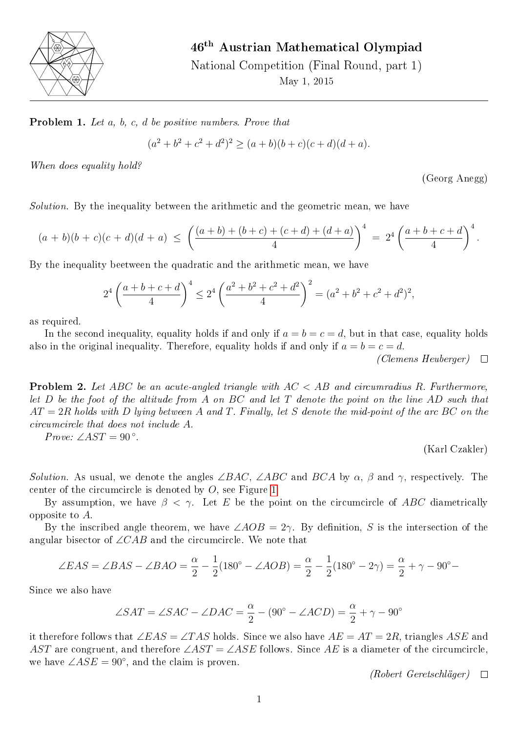

## 46th Austrian Mathematical Olympiad

National Competition (Final Round, part 1) May 1, 2015

Problem 1. Let a, b, c, d be positive numbers. Prove that

$$
(a2 + b2 + c2 + d2)2 \ge (a + b)(b + c)(c + d)(d + a).
$$

When does equality hold?

(Georg Anegg)

Solution. By the inequality between the arithmetic and the geometric mean, we have

$$
(a+b)(b+c)(c+d)(d+a) \le \left(\frac{(a+b)+(b+c)+(c+d)+(d+a)}{4}\right)^4 = 2^4 \left(\frac{a+b+c+d}{4}\right)^4.
$$

By the inequality beetween the quadratic and the arithmetic mean, we have

$$
2^{4} \left( \frac{a+b+c+d}{4} \right)^{4} \leq 2^{4} \left( \frac{a^{2}+b^{2}+c^{2}+d^{2}}{4} \right)^{2} = (a^{2}+b^{2}+c^{2}+d^{2})^{2},
$$

as required.

In the second inequality, equality holds if and only if  $a = b = c = d$ , but in that case, equality holds also in the original inequality. Therefore, equality holds if and only if  $a = b = c = d$ .

(Clemens Heuberger)  $\Box$ 

**Problem 2.** Let ABC be an acute-angled triangle with  $AC < AB$  and circumradius R. Furthermore, let  $D$  be the foot of the altitude from  $A$  on  $BC$  and let  $T$  denote the point on the line  $AD$  such that  $AT = 2R$  holds with D lying between A and T. Finally, let S denote the mid-point of the arc BC on the circumcircle that does not include A.

Prove:  $\angle AST = 90^{\circ}$ .

(Karl Czakler)

Solution. As usual, we denote the angles ∠BAC, ∠ABC and BCA by  $\alpha$ ,  $\beta$  and  $\gamma$ , respectively. The center of the circumcircle is denoted by O, see Figure [1.](#page-1-0)

By assumption, we have  $\beta < \gamma$ . Let E be the point on the circumcircle of ABC diametrically opposite to A.

By the inscribed angle theorem, we have  $\angle AOB = 2\gamma$ . By definition, S is the intersection of the angular bisector of  $\angle CAB$  and the circumcircle. We note that

$$
\angle EAS = \angle BAS - \angle BAO = \frac{\alpha}{2} - \frac{1}{2}(180^{\circ} - \angle AOB) = \frac{\alpha}{2} - \frac{1}{2}(180^{\circ} - 2\gamma) = \frac{\alpha}{2} + \gamma - 90^{\circ} - \frac{1}{2}(180^{\circ} - 2\gamma) = \frac{\alpha}{2} + \gamma - 90^{\circ} - \frac{1}{2}(180^{\circ} - 2\gamma) = \frac{\alpha}{2} + \gamma - 90^{\circ} - \frac{1}{2}(180^{\circ} - 2\gamma) = \frac{\alpha}{2} + \gamma - 90^{\circ} - \frac{1}{2}(180^{\circ} - 2\gamma) = \frac{\alpha}{2} + \gamma - 90^{\circ} - \frac{1}{2}(180^{\circ} - 2\gamma) = \frac{\alpha}{2} + \gamma - 90^{\circ} - \frac{1}{2}(180^{\circ} - 2\gamma) = \frac{\alpha}{2} + \gamma - 90^{\circ} - \frac{1}{2}(180^{\circ} - 2\gamma) = \frac{\alpha}{2} + \gamma - 90^{\circ} - \frac{1}{2}(180^{\circ} - 2\gamma) = \frac{\alpha}{2} + \gamma - 90^{\circ} - \frac{1}{2}(180^{\circ} - 2\gamma) = \frac{\alpha}{2} + \gamma - 90^{\circ} - \frac{1}{2}(180^{\circ} - 2\gamma) = \frac{\alpha}{2} + \gamma - 90^{\circ} - \frac{1}{2}(180^{\circ} - 2\gamma) = \frac{\alpha}{2} + \gamma - 90^{\circ} - \frac{1}{2}(180^{\circ} - 2\gamma) = \frac{\alpha}{2} + \gamma - 90^{\circ} - \frac{1}{2}(180^{\circ} - 2\gamma) = \frac{\alpha}{2} + \gamma - 90^{\circ} - \frac{1}{2}(180^{\circ} - 2\gamma) = \frac{\alpha}{2} + \gamma - 90^{\circ} - \frac{1}{2}(180^{\circ} - 2\gamma) = \frac{\alpha}{2} + \gamma - 90^{\circ} - \frac{1}{2}(180^{\circ} - 2\gamma) = \frac{\alpha}{2} + \gamma - 90^{\circ} - \frac{1}{2}(180^{\circ} - 2\gamma) = \frac{\alpha}{2}
$$

Since we also have

$$
\angle SAT = \angle SAC - \angle DAC = \frac{\alpha}{2} - (90^{\circ} - \angle ACD) = \frac{\alpha}{2} + \gamma - 90^{\circ}
$$

it therefore follows that  $\angle EAS = \angle TAS$  holds. Since we also have  $AE = AT = 2R$ , triangles ASE and AST are congruent, and therefore  $\angle AST = \angle ASE$  follows. Since AE is a diameter of the circumcircle, we have  $\angle ASE = 90^{\circ}$ , and the claim is proven.

 $(Robert \text{ Gerets} \text{chläger}) \quad \Box$